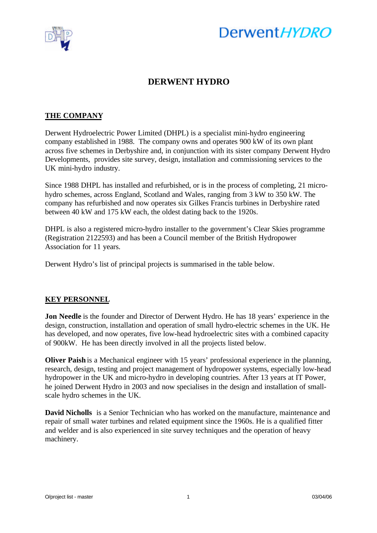

# Derwent HYDRO

## **DERWENT HYDRO**

### **THE COMPANY**

Derwent Hydroelectric Power Limited (DHPL) is a specialist mini-hydro engineering company established in 1988. The company owns and operates 900 kW of its own plant across five schemes in Derbyshire and, in conjunction with its sister company Derwent Hydro Developments, provides site survey, design, installation and commissioning services to the UK mini-hydro industry.

Since 1988 DHPL has installed and refurbished, or is in the process of completing, 21 microhydro schemes, across England, Scotland and Wales, ranging from 3 kW to 350 kW. The company has refurbished and now operates six Gilkes Francis turbines in Derbyshire rated between 40 kW and 175 kW each, the oldest dating back to the 1920s.

DHPL is also a registered micro-hydro installer to the government's Clear Skies programme (Registration 2122593) and has been a Council member of the British Hydropower Association for 11 years.

Derwent Hydro's list of principal projects is summarised in the table below.

#### **KEY PERSONNEL**

**Jon Needle** is the founder and Director of Derwent Hydro. He has 18 years' experience in the design, construction, installation and operation of small hydro-electric schemes in the UK. He has developed, and now operates, five low-head hydroelectric sites with a combined capacity of 900kW. He has been directly involved in all the projects listed below.

**Oliver Paish** is a Mechanical engineer with 15 years' professional experience in the planning, research, design, testing and project management of hydropower systems, especially low-head hydropower in the UK and micro-hydro in developing countries. After 13 years at IT Power, he joined Derwent Hydro in 2003 and now specialises in the design and installation of smallscale hydro schemes in the UK.

**David Nicholls** is a Senior Technician who has worked on the manufacture, maintenance and repair of small water turbines and related equipment since the 1960s. He is a qualified fitter and welder and is also experienced in site survey techniques and the operation of heavy machinery.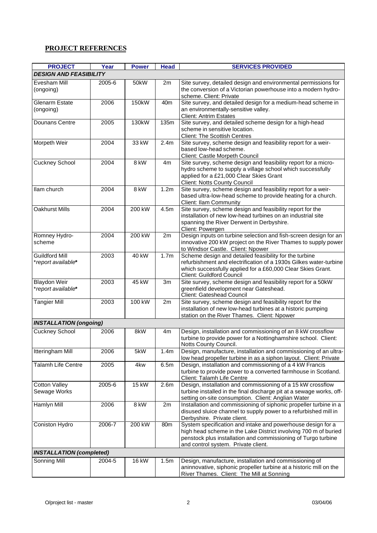#### **PROJECT REFERENCES**

| <b>PROJECT</b>                              | Year   | <b>Power</b> | <b>Head</b>      | <b>SERVICES PROVIDED</b>                                                                                                                                                                                                               |  |  |
|---------------------------------------------|--------|--------------|------------------|----------------------------------------------------------------------------------------------------------------------------------------------------------------------------------------------------------------------------------------|--|--|
| <b>DESIGN AND FEASIBILITY</b>               |        |              |                  |                                                                                                                                                                                                                                        |  |  |
| Evesham Mill<br>(ongoing)                   | 2005-6 | 50kW         | 2m               | Site survey, detailed design and environmental permissions for<br>the conversion of a Victorian powerhouse into a modern hydro-<br>scheme. Client: Private                                                                             |  |  |
| <b>Glenarm Estate</b><br>(ongoing)          | 2006   | 150kW        | 40 <sub>m</sub>  | Site survey, and detailed design for a medium-head scheme in<br>an environmentally-sensitive valley.<br><b>Client: Antrim Estates</b>                                                                                                  |  |  |
| Dounans Centre                              | 2005   | 130kW        | 135m             | Site survey, and detailed scheme design for a high-head<br>scheme in sensitive location.<br><b>Client: The Scottish Centres</b>                                                                                                        |  |  |
| Morpeth Weir                                | 2004   | 33 kW        | 2.4m             | Site survey, scheme design and feasibility report for a weir-<br>based low-head scheme.<br><b>Client: Castle Morpeth Council</b>                                                                                                       |  |  |
| Cuckney School                              | 2004   | 8 kW         | 4m               | Site survey, scheme design and feasibility report for a micro-<br>hydro scheme to supply a village school which successfully<br>applied for a £21,000 Clear Skies Grant<br><b>Client: Notts County Council</b>                         |  |  |
| llam church                                 | 2004   | 8 kW         | 1.2m             | Site survey, scheme design and feasibility report for a weir-<br>based ultra-low-head scheme to provide heating for a church.<br><b>Client: Ilam Community</b>                                                                         |  |  |
| <b>Oakhurst Mills</b>                       | 2004   | 200 kW       | 4.5m             | Site survey, scheme design and feasibility report for the<br>installation of new low-head turbines on an industrial site<br>spanning the River Derwent in Derbyshire.<br>Client: Powergen                                              |  |  |
| Romney Hydro-<br>scheme                     | 2004   | 200 kW       | 2m               | Design inputs on turbine selection and fish-screen design for an<br>innovative 200 kW project on the River Thames to supply power<br>to Windsor Castle. Client: Npower                                                                 |  |  |
| <b>Guildford Mill</b><br>*report available* | 2003   | 40 kW        | 1.7 <sub>m</sub> | Scheme design and detailed feasibility for the turbine<br>refurbishment and electrification of a 1930s Gilkes water-turbine<br>which successfully applied for a £60,000 Clear Skies Grant.<br>Client: Guildford Council                |  |  |
| <b>Blaydon Weir</b><br>*report available*   | 2003   | 45 kW        | 3m               | Site survey, scheme design and feasibility report for a 50kW<br>greenfield development near Gateshead.<br>Client: Gateshead Council                                                                                                    |  |  |
| <b>Tangier Mill</b>                         | 2003   | 100 kW       | 2m               | Site survey, scheme design and feasibility report for the<br>installation of new low-head turbines at a historic pumping<br>station on the River Thames. Client: Npower                                                                |  |  |
| <b>INSTALLATION (ongoing)</b>               |        |              |                  |                                                                                                                                                                                                                                        |  |  |
| <b>Cuckney School</b>                       | 2006   | 8kW          | 4m               | Design, installation and commissioning of an 8 kW crossflow<br>turbine to provide power for a Nottinghamshire school. Client:<br>Notts County Council.                                                                                 |  |  |
| <b>Itteringham Mill</b>                     | 2006   | 5kW          | 1.4 <sub>m</sub> | Design, manufacture, installation and commissioning of an ultra-<br>low head propeller turbine in as a siphon layout. Client: Private                                                                                                  |  |  |
| Talamh Life Centre                          | 2005   | 4kw          | 6.5m             | Design, installation and commissioning of a 4 kW Francis<br>turbine to provide power to a converted farmhouse in Scotland.<br>Client: Talamh Life Centre                                                                               |  |  |
| <b>Cotton Valley</b><br>Sewage Works        | 2005-6 | <b>15 kW</b> | 2.6 <sub>m</sub> | Design, installation and commissioning of a 15 kW crossflow<br>turbine installed in the final discharge pit at a sewage works, off-<br>setting on-site consumption. Client: Anglian Water                                              |  |  |
| Hamlyn Mill                                 | 2006   | 8 kW         | 2m               | Installation and commissioning of siphonic propeller turbine in a<br>disused sluice channel to supply power to a refurbished mill in<br>Derbyshire. Private client.                                                                    |  |  |
| Coniston Hydro                              | 2006-7 | 200 kW       | 80 <sub>m</sub>  | System specification and intake and powerhouse design for a<br>high head scheme in the Lake District involving 700 m of buried<br>penstock plus installation and commissioning of Turgo turbine<br>and control system. Private client. |  |  |
| <b>INSTALLATION (completed)</b>             |        |              |                  |                                                                                                                                                                                                                                        |  |  |
| Sonning Mill                                | 2004-5 | 16 kW        | 1.5m             | Design, manufacture, installation and commissioning of<br>aninnovative, siphonic propeller turbine at a historic mill on the<br>River Thames. Client: The Mill at Sonning                                                              |  |  |